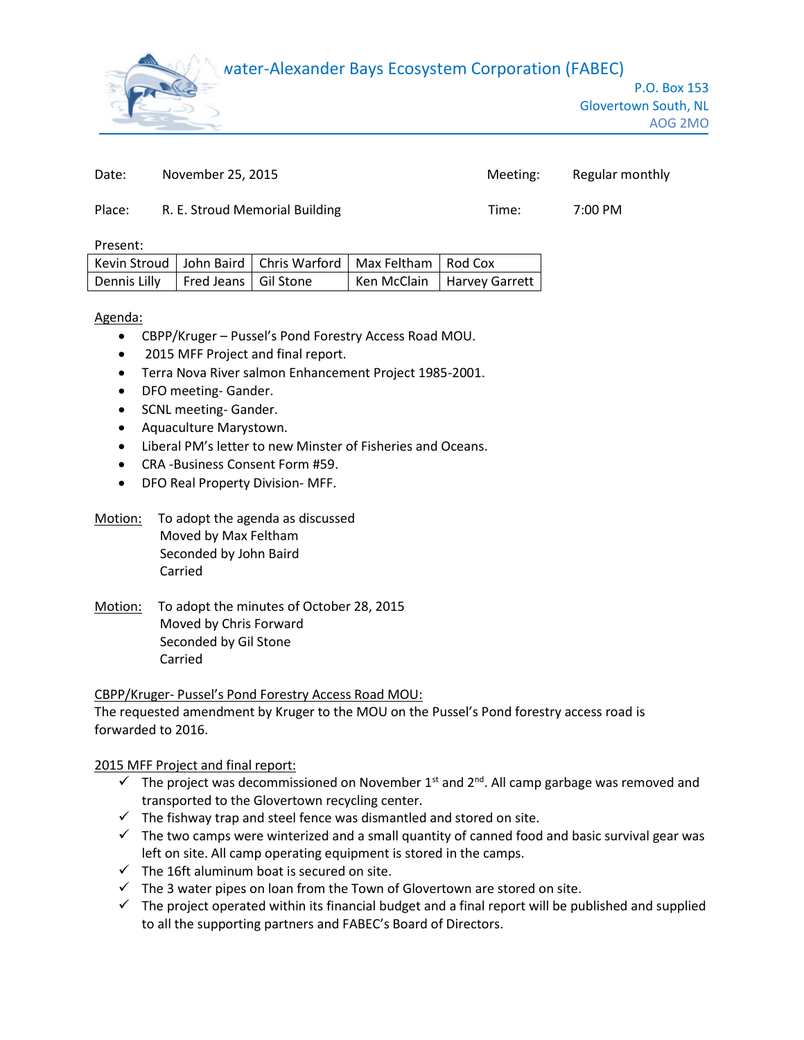# water-Alexander Bays Ecosystem Corporation (FABEC)



| Date:  | November 25, 2015              | Meeting: | Regular monthly |
|--------|--------------------------------|----------|-----------------|
| Place: | R. E. Stroud Memorial Building | Time:    | 7:00 PM         |

Present:

|                                       | Kevin Stroud   John Baird   Chris Warford   Max Feltham   Rod Cox |                              |
|---------------------------------------|-------------------------------------------------------------------|------------------------------|
| Dennis Lilly   Fred Jeans   Gil Stone |                                                                   | Ken McClain   Harvey Garrett |

Agenda:

- CBPP/Kruger Pussel's Pond Forestry Access Road MOU.
- 2015 MFF Project and final report.
- Terra Nova River salmon Enhancement Project 1985-2001.
- DFO meeting- Gander.
- SCNL meeting- Gander.
- Aquaculture Marystown.
- Liberal PM's letter to new Minster of Fisheries and Oceans.
- CRA -Business Consent Form #59.
- DFO Real Property Division- MFF.
- Motion: To adopt the agenda as discussed Moved by Max Feltham Seconded by John Baird Carried
- Motion: To adopt the minutes of October 28, 2015 Moved by Chris Forward Seconded by Gil Stone Carried

CBPP/Kruger- Pussel's Pond Forestry Access Road MOU:

The requested amendment by Kruger to the MOU on the Pussel's Pond forestry access road is forwarded to 2016.

2015 MFF Project and final report:

- $\checkmark$  The project was decommissioned on November 1<sup>st</sup> and 2<sup>nd</sup>. All camp garbage was removed and transported to the Glovertown recycling center.
- $\checkmark$  The fishway trap and steel fence was dismantled and stored on site.
- $\checkmark$  The two camps were winterized and a small quantity of canned food and basic survival gear was left on site. All camp operating equipment is stored in the camps.
- $\checkmark$  The 16ft aluminum boat is secured on site.
- $\checkmark$  The 3 water pipes on loan from the Town of Glovertown are stored on site.
- $\checkmark$  The project operated within its financial budget and a final report will be published and supplied to all the supporting partners and FABEC's Board of Directors.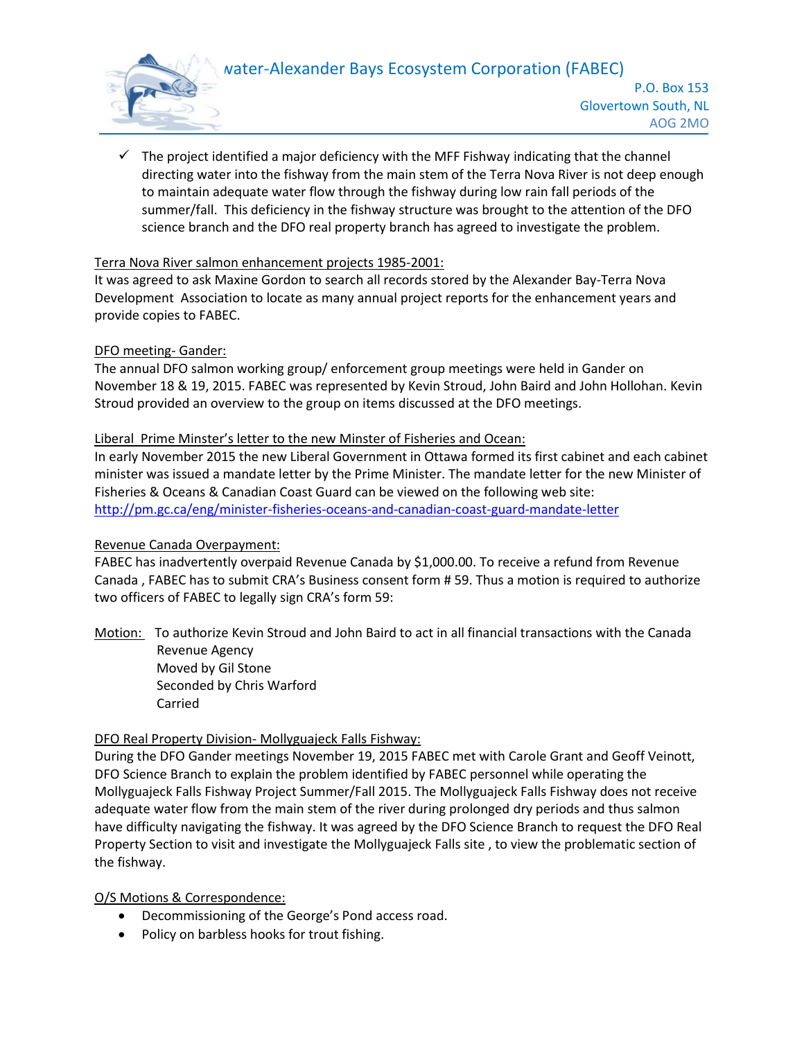# water-Alexander Bays Ecosystem Corporation (FABEC)



 $\checkmark$  The project identified a major deficiency with the MFF Fishway indicating that the channel directing water into the fishway from the main stem of the Terra Nova River is not deep enough to maintain adequate water flow through the fishway during low rain fall periods of the summer/fall. This deficiency in the fishway structure was brought to the attention of the DFO science branch and the DFO real property branch has agreed to investigate the problem.

### Terra Nova River salmon enhancement projects 1985-2001:

It was agreed to ask Maxine Gordon to search all records stored by the Alexander Bay-Terra Nova Development Association to locate as many annual project reports for the enhancement years and provide copies to FABEC.

### DFO meeting- Gander:

The annual DFO salmon working group/ enforcement group meetings were held in Gander on November 18 & 19, 2015. FABEC was represented by Kevin Stroud, John Baird and John Hollohan. Kevin Stroud provided an overview to the group on items discussed at the DFO meetings.

### Liberal Prime Minster's letter to the new Minster of Fisheries and Ocean:

In early November 2015 the new Liberal Government in Ottawa formed its first cabinet and each cabinet minister was issued a mandate letter by the Prime Minister. The mandate letter for the new Minister of Fisheries & Oceans & Canadian Coast Guard can be viewed on the following web site: <http://pm.gc.ca/eng/minister-fisheries-oceans-and-canadian-coast-guard-mandate-letter>

#### Revenue Canada Overpayment:

FABEC has inadvertently overpaid Revenue Canada by \$1,000.00. To receive a refund from Revenue Canada , FABEC has to submit CRA's Business consent form # 59. Thus a motion is required to authorize two officers of FABEC to legally sign CRA's form 59:

Motion: To authorize Kevin Stroud and John Baird to act in all financial transactions with the Canada Revenue Agency Moved by Gil Stone Seconded by Chris Warford

Carried

## DFO Real Property Division- Mollyguajeck Falls Fishway:

During the DFO Gander meetings November 19, 2015 FABEC met with Carole Grant and Geoff Veinott, DFO Science Branch to explain the problem identified by FABEC personnel while operating the Mollyguajeck Falls Fishway Project Summer/Fall 2015. The Mollyguajeck Falls Fishway does not receive adequate water flow from the main stem of the river during prolonged dry periods and thus salmon have difficulty navigating the fishway. It was agreed by the DFO Science Branch to request the DFO Real Property Section to visit and investigate the Mollyguajeck Falls site , to view the problematic section of the fishway.

#### O/S Motions & Correspondence:

- Decommissioning of the George's Pond access road.
- Policy on barbless hooks for trout fishing.